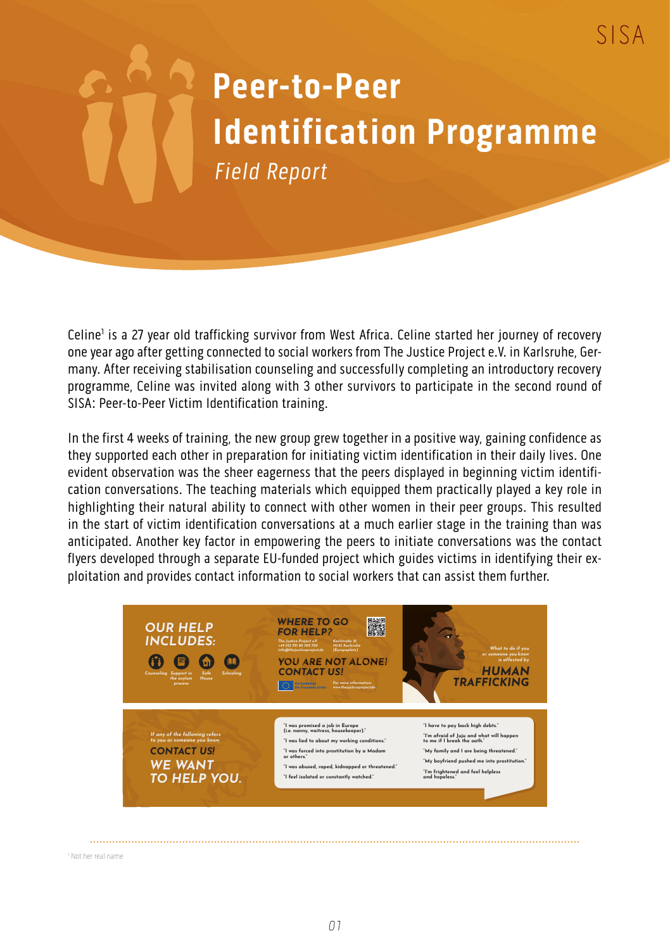## **Peer-to-Peer Identification Programme** Field Report

SISA

Celine<sup>1</sup> is a 27 year old trafficking survivor from West Africa. Celine started her journey of recovery one year ago after getting connected to social workers from The Justice Project e.V. in Karlsruhe, Germany. After receiving stabilisation counseling and successfully completing an introductory recovery programme, Celine was invited along with 3 other survivors to participate in the second round of SISA: Peer-to-Peer Victim Identification training.

In the first 4 weeks of training, the new group grew together in a positive way, gaining confidence as they supported each other in preparation for initiating victim identification in their daily lives. One evident observation was the sheer eagerness that the peers displayed in beginning victim identification conversations. The teaching materials which equipped them practically played a key role in highlighting their natural ability to connect with other women in their peer groups. This resulted in the start of victim identification conversations at a much earlier stage in the training than was anticipated. Another key factor in empowering the peers to initiate conversations was the contact flyers developed through a separate EU-funded project which guides victims in identifying their exploitation and provides contact information to social workers that can assist them further.



1 Not her real name